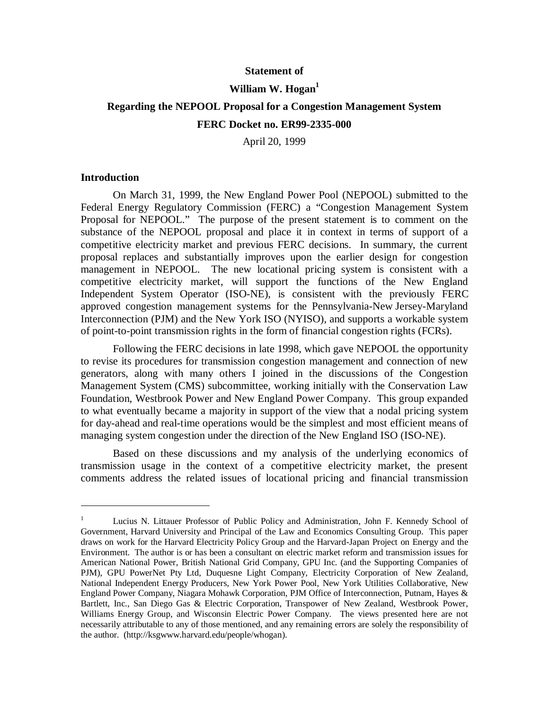## **Statement of**

## William W. Hogan<sup>1</sup>

# **Regarding the NEPOOL Proposal for a Congestion Management System FERC Docket no. ER99-2335-000**

April 20, 1999

## **Introduction**

 $\overline{a}$ 

On March 31, 1999, the New England Power Pool (NEPOOL) submitted to the Federal Energy Regulatory Commission (FERC) a "Congestion Management System Proposal for NEPOOL." The purpose of the present statement is to comment on the substance of the NEPOOL proposal and place it in context in terms of support of a competitive electricity market and previous FERC decisions. In summary, the current proposal replaces and substantially improves upon the earlier design for congestion management in NEPOOL. The new locational pricing system is consistent with a competitive electricity market, will support the functions of the New England Independent System Operator (ISO-NE), is consistent with the previously FERC approved congestion management systems for the Pennsylvania-New Jersey-Maryland Interconnection (PJM) and the New York ISO (NYISO), and supports a workable system of point-to-point transmission rights in the form of financial congestion rights (FCRs).

Following the FERC decisions in late 1998, which gave NEPOOL the opportunity to revise its procedures for transmission congestion management and connection of new generators, along with many others I joined in the discussions of the Congestion Management System (CMS) subcommittee, working initially with the Conservation Law Foundation, Westbrook Power and New England Power Company. This group expanded to what eventually became a majority in support of the view that a nodal pricing system for day-ahead and real-time operations would be the simplest and most efficient means of managing system congestion under the direction of the New England ISO (ISO-NE).

Based on these discussions and my analysis of the underlying economics of transmission usage in the context of a competitive electricity market, the present comments address the related issues of locational pricing and financial transmission

<sup>1</sup> Lucius N. Littauer Professor of Public Policy and Administration, John F. Kennedy School of Government, Harvard University and Principal of the Law and Economics Consulting Group. This paper draws on work for the Harvard Electricity Policy Group and the Harvard-Japan Project on Energy and the Environment. The author is or has been a consultant on electric market reform and transmission issues for American National Power, British National Grid Company, GPU Inc. (and the Supporting Companies of PJM), GPU PowerNet Pty Ltd, Duquesne Light Company, Electricity Corporation of New Zealand, National Independent Energy Producers, New York Power Pool, New York Utilities Collaborative, New England Power Company, Niagara Mohawk Corporation, PJM Office of Interconnection, Putnam, Hayes & Bartlett, Inc., San Diego Gas & Electric Corporation, Transpower of New Zealand, Westbrook Power, Williams Energy Group, and Wisconsin Electric Power Company. The views presented here are not necessarily attributable to any of those mentioned, and any remaining errors are solely the responsibility of the author. (http://ksgwww.harvard.edu/people/whogan).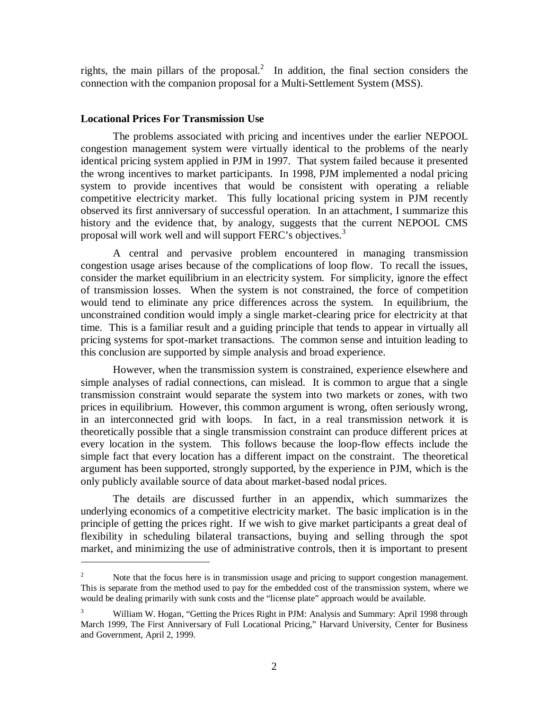rights, the main pillars of the proposal.<sup>2</sup> In addition, the final section considers the connection with the companion proposal for a Multi-Settlement System (MSS).

#### **Locational Prices For Transmission Use**

 $\overline{a}$ 

The problems associated with pricing and incentives under the earlier NEPOOL congestion management system were virtually identical to the problems of the nearly identical pricing system applied in PJM in 1997. That system failed because it presented the wrong incentives to market participants. In 1998, PJM implemented a nodal pricing system to provide incentives that would be consistent with operating a reliable competitive electricity market. This fully locational pricing system in PJM recently observed its first anniversary of successful operation. In an attachment, I summarize this history and the evidence that, by analogy, suggests that the current NEPOOL CMS proposal will work well and will support FERC's objectives.<sup>3</sup>

A central and pervasive problem encountered in managing transmission congestion usage arises because of the complications of loop flow. To recall the issues, consider the market equilibrium in an electricity system. For simplicity, ignore the effect of transmission losses. When the system is not constrained, the force of competition would tend to eliminate any price differences across the system. In equilibrium, the unconstrained condition would imply a single market-clearing price for electricity at that time. This is a familiar result and a guiding principle that tends to appear in virtually all pricing systems for spot-market transactions. The common sense and intuition leading to this conclusion are supported by simple analysis and broad experience.

However, when the transmission system is constrained, experience elsewhere and simple analyses of radial connections, can mislead. It is common to argue that a single transmission constraint would separate the system into two markets or zones, with two prices in equilibrium. However, this common argument is wrong, often seriously wrong, in an interconnected grid with loops. In fact, in a real transmission network it is theoretically possible that a single transmission constraint can produce different prices at every location in the system. This follows because the loop-flow effects include the simple fact that every location has a different impact on the constraint. The theoretical argument has been supported, strongly supported, by the experience in PJM, which is the only publicly available source of data about market-based nodal prices.

The details are discussed further in an appendix, which summarizes the underlying economics of a competitive electricity market. The basic implication is in the principle of getting the prices right. If we wish to give market participants a great deal of flexibility in scheduling bilateral transactions, buying and selling through the spot market, and minimizing the use of administrative controls, then it is important to present

<sup>2</sup> Note that the focus here is in transmission usage and pricing to support congestion management. This is separate from the method used to pay for the embedded cost of the transmission system, where we would be dealing primarily with sunk costs and the "license plate" approach would be available.

<sup>3</sup> William W. Hogan, "Getting the Prices Right in PJM: Analysis and Summary: April 1998 through March 1999, The First Anniversary of Full Locational Pricing," Harvard University, Center for Business and Government, April 2, 1999.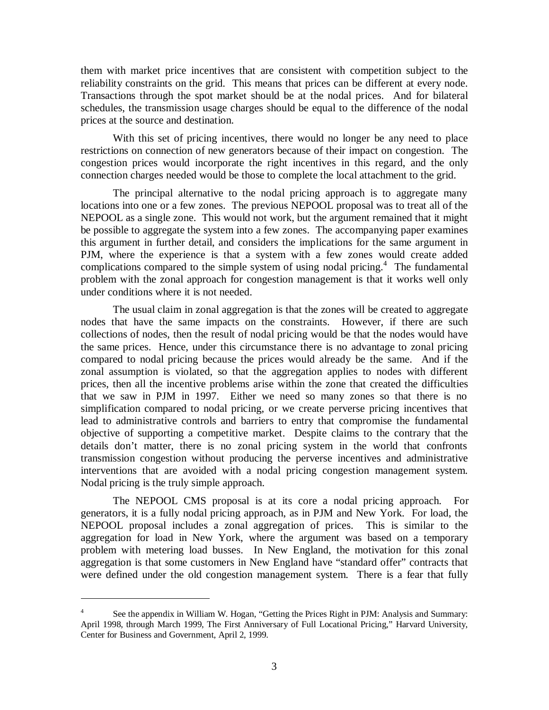them with market price incentives that are consistent with competition subject to the reliability constraints on the grid. This means that prices can be different at every node. Transactions through the spot market should be at the nodal prices. And for bilateral schedules, the transmission usage charges should be equal to the difference of the nodal prices at the source and destination.

With this set of pricing incentives, there would no longer be any need to place restrictions on connection of new generators because of their impact on congestion. The congestion prices would incorporate the right incentives in this regard, and the only connection charges needed would be those to complete the local attachment to the grid.

The principal alternative to the nodal pricing approach is to aggregate many locations into one or a few zones. The previous NEPOOL proposal was to treat all of the NEPOOL as a single zone. This would not work, but the argument remained that it might be possible to aggregate the system into a few zones. The accompanying paper examines this argument in further detail, and considers the implications for the same argument in PJM, where the experience is that a system with a few zones would create added complications compared to the simple system of using nodal pricing.<sup>4</sup> The fundamental problem with the zonal approach for congestion management is that it works well only under conditions where it is not needed.

The usual claim in zonal aggregation is that the zones will be created to aggregate nodes that have the same impacts on the constraints. However, if there are such collections of nodes, then the result of nodal pricing would be that the nodes would have the same prices. Hence, under this circumstance there is no advantage to zonal pricing compared to nodal pricing because the prices would already be the same. And if the zonal assumption is violated, so that the aggregation applies to nodes with different prices, then all the incentive problems arise within the zone that created the difficulties that we saw in PJM in 1997. Either we need so many zones so that there is no simplification compared to nodal pricing, or we create perverse pricing incentives that lead to administrative controls and barriers to entry that compromise the fundamental objective of supporting a competitive market. Despite claims to the contrary that the details don't matter, there is no zonal pricing system in the world that confronts transmission congestion without producing the perverse incentives and administrative interventions that are avoided with a nodal pricing congestion management system. Nodal pricing is the truly simple approach.

The NEPOOL CMS proposal is at its core a nodal pricing approach. For generators, it is a fully nodal pricing approach, as in PJM and New York. For load, the NEPOOL proposal includes a zonal aggregation of prices. This is similar to the aggregation for load in New York, where the argument was based on a temporary problem with metering load busses. In New England, the motivation for this zonal aggregation is that some customers in New England have "standard offer" contracts that were defined under the old congestion management system. There is a fear that fully

<sup>4</sup> See the appendix in William W. Hogan, "Getting the Prices Right in PJM: Analysis and Summary: April 1998, through March 1999, The First Anniversary of Full Locational Pricing," Harvard University, Center for Business and Government, April 2, 1999.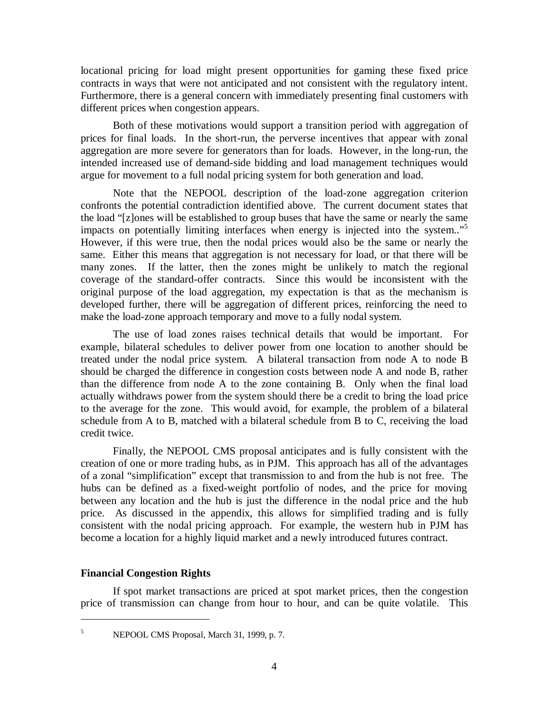locational pricing for load might present opportunities for gaming these fixed price contracts in ways that were not anticipated and not consistent with the regulatory intent. Furthermore, there is a general concern with immediately presenting final customers with different prices when congestion appears.

Both of these motivations would support a transition period with aggregation of prices for final loads. In the short-run, the perverse incentives that appear with zonal aggregation are more severe for generators than for loads. However, in the long-run, the intended increased use of demand-side bidding and load management techniques would argue for movement to a full nodal pricing system for both generation and load.

Note that the NEPOOL description of the load-zone aggregation criterion confronts the potential contradiction identified above. The current document states that the load "[z]ones will be established to group buses that have the same or nearly the same impacts on potentially limiting interfaces when energy is injected into the system.."<sup>5</sup> However, if this were true, then the nodal prices would also be the same or nearly the same. Either this means that aggregation is not necessary for load, or that there will be many zones. If the latter, then the zones might be unlikely to match the regional coverage of the standard-offer contracts. Since this would be inconsistent with the original purpose of the load aggregation, my expectation is that as the mechanism is developed further, there will be aggregation of different prices, reinforcing the need to make the load-zone approach temporary and move to a fully nodal system.

The use of load zones raises technical details that would be important. For example, bilateral schedules to deliver power from one location to another should be treated under the nodal price system. A bilateral transaction from node A to node B should be charged the difference in congestion costs between node A and node B, rather than the difference from node A to the zone containing B. Only when the final load actually withdraws power from the system should there be a credit to bring the load price to the average for the zone. This would avoid, for example, the problem of a bilateral schedule from A to B, matched with a bilateral schedule from B to C, receiving the load credit twice.

Finally, the NEPOOL CMS proposal anticipates and is fully consistent with the creation of one or more trading hubs, as in PJM. This approach has all of the advantages of a zonal "simplification" except that transmission to and from the hub is not free. The hubs can be defined as a fixed-weight portfolio of nodes, and the price for moving between any location and the hub is just the difference in the nodal price and the hub price. As discussed in the appendix, this allows for simplified trading and is fully consistent with the nodal pricing approach. For example, the western hub in PJM has become a location for a highly liquid market and a newly introduced futures contract.

## **Financial Congestion Rights**

 $\overline{a}$ 

If spot market transactions are priced at spot market prices, then the congestion price of transmission can change from hour to hour, and can be quite volatile. This

5 NEPOOL CMS Proposal, March 31, 1999, p. 7.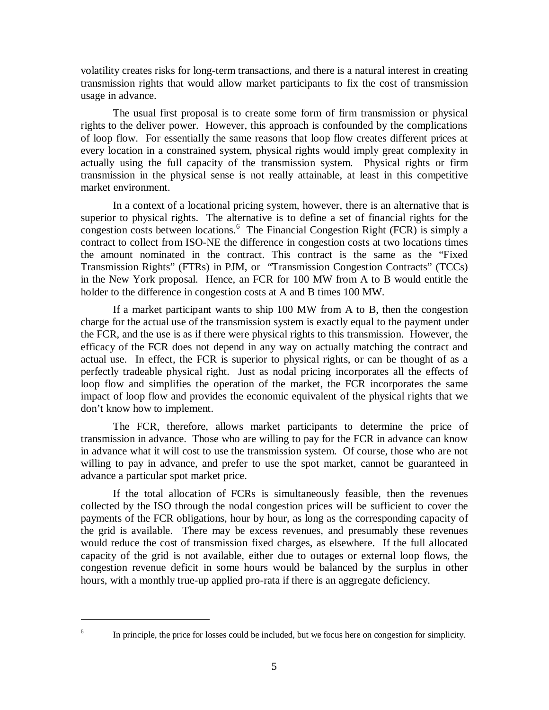volatility creates risks for long-term transactions, and there is a natural interest in creating transmission rights that would allow market participants to fix the cost of transmission usage in advance.

The usual first proposal is to create some form of firm transmission or physical rights to the deliver power. However, this approach is confounded by the complications of loop flow. For essentially the same reasons that loop flow creates different prices at every location in a constrained system, physical rights would imply great complexity in actually using the full capacity of the transmission system. Physical rights or firm transmission in the physical sense is not really attainable, at least in this competitive market environment.

In a context of a locational pricing system, however, there is an alternative that is superior to physical rights. The alternative is to define a set of financial rights for the congestion costs between locations.<sup>6</sup> The Financial Congestion Right (FCR) is simply a contract to collect from ISO-NE the difference in congestion costs at two locations times the amount nominated in the contract. This contract is the same as the "Fixed Transmission Rights" (FTRs) in PJM, or "Transmission Congestion Contracts" (TCCs) in the New York proposal. Hence, an FCR for 100 MW from A to B would entitle the holder to the difference in congestion costs at A and B times 100 MW.

If a market participant wants to ship 100 MW from A to B, then the congestion charge for the actual use of the transmission system is exactly equal to the payment under the FCR, and the use is as if there were physical rights to this transmission. However, the efficacy of the FCR does not depend in any way on actually matching the contract and actual use. In effect, the FCR is superior to physical rights, or can be thought of as a perfectly tradeable physical right. Just as nodal pricing incorporates all the effects of loop flow and simplifies the operation of the market, the FCR incorporates the same impact of loop flow and provides the economic equivalent of the physical rights that we don't know how to implement.

The FCR, therefore, allows market participants to determine the price of transmission in advance. Those who are willing to pay for the FCR in advance can know in advance what it will cost to use the transmission system. Of course, those who are not willing to pay in advance, and prefer to use the spot market, cannot be guaranteed in advance a particular spot market price.

If the total allocation of FCRs is simultaneously feasible, then the revenues collected by the ISO through the nodal congestion prices will be sufficient to cover the payments of the FCR obligations, hour by hour, as long as the corresponding capacity of the grid is available. There may be excess revenues, and presumably these revenues would reduce the cost of transmission fixed charges, as elsewhere. If the full allocated capacity of the grid is not available, either due to outages or external loop flows, the congestion revenue deficit in some hours would be balanced by the surplus in other hours, with a monthly true-up applied pro-rata if there is an aggregate deficiency.

In principle, the price for losses could be included, but we focus here on congestion for simplicity.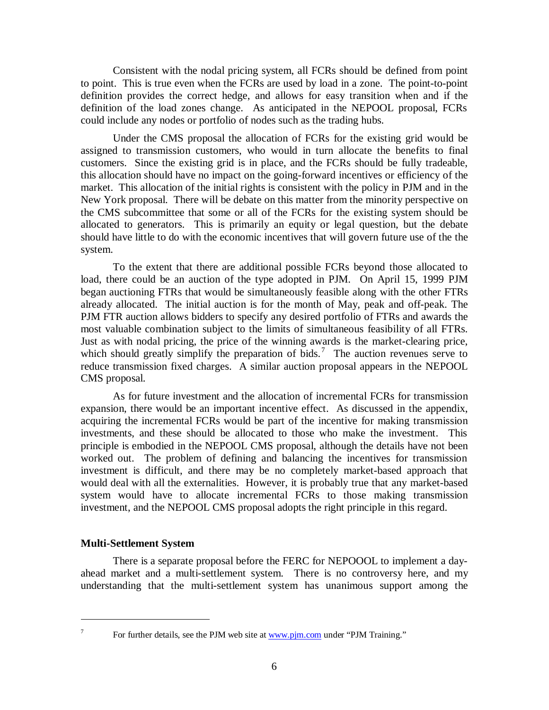Consistent with the nodal pricing system, all FCRs should be defined from point to point. This is true even when the FCRs are used by load in a zone. The point-to-point definition provides the correct hedge, and allows for easy transition when and if the definition of the load zones change. As anticipated in the NEPOOL proposal, FCRs could include any nodes or portfolio of nodes such as the trading hubs.

Under the CMS proposal the allocation of FCRs for the existing grid would be assigned to transmission customers, who would in turn allocate the benefits to final customers. Since the existing grid is in place, and the FCRs should be fully tradeable, this allocation should have no impact on the going-forward incentives or efficiency of the market. This allocation of the initial rights is consistent with the policy in PJM and in the New York proposal. There will be debate on this matter from the minority perspective on the CMS subcommittee that some or all of the FCRs for the existing system should be allocated to generators. This is primarily an equity or legal question, but the debate should have little to do with the economic incentives that will govern future use of the the system.

To the extent that there are additional possible FCRs beyond those allocated to load, there could be an auction of the type adopted in PJM. On April 15, 1999 PJM began auctioning FTRs that would be simultaneously feasible along with the other FTRs already allocated. The initial auction is for the month of May, peak and off-peak. The PJM FTR auction allows bidders to specify any desired portfolio of FTRs and awards the most valuable combination subject to the limits of simultaneous feasibility of all FTRs. Just as with nodal pricing, the price of the winning awards is the market-clearing price, which should greatly simplify the preparation of bids.<sup>7</sup> The auction revenues serve to reduce transmission fixed charges. A similar auction proposal appears in the NEPOOL CMS proposal.

As for future investment and the allocation of incremental FCRs for transmission expansion, there would be an important incentive effect. As discussed in the appendix, acquiring the incremental FCRs would be part of the incentive for making transmission investments, and these should be allocated to those who make the investment. This principle is embodied in the NEPOOL CMS proposal, although the details have not been worked out. The problem of defining and balancing the incentives for transmission investment is difficult, and there may be no completely market-based approach that would deal with all the externalities. However, it is probably true that any market-based system would have to allocate incremental FCRs to those making transmission investment, and the NEPOOL CMS proposal adopts the right principle in this regard.

#### **Multi-Settlement System**

There is a separate proposal before the FERC for NEPOOOL to implement a dayahead market and a multi-settlement system. There is no controversy here, and my understanding that the multi-settlement system has unanimous support among the

For further details, see the PJM web site at **www.pjm.com** under "PJM Training."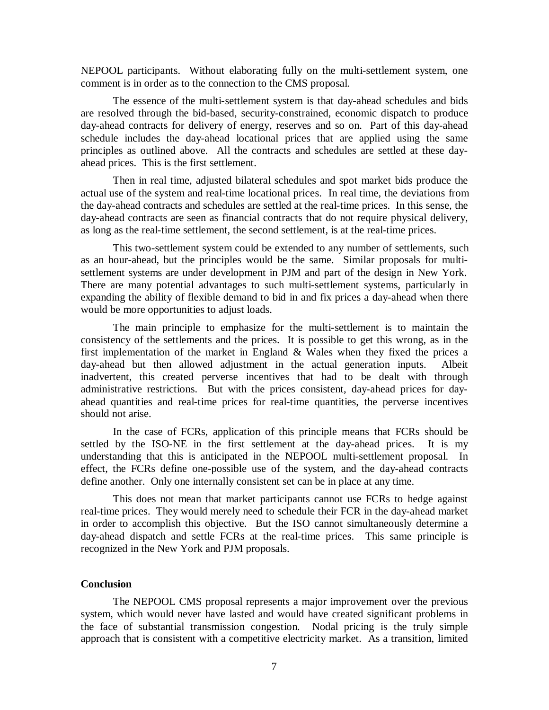NEPOOL participants. Without elaborating fully on the multi-settlement system, one comment is in order as to the connection to the CMS proposal.

The essence of the multi-settlement system is that day-ahead schedules and bids are resolved through the bid-based, security-constrained, economic dispatch to produce day-ahead contracts for delivery of energy, reserves and so on. Part of this day-ahead schedule includes the day-ahead locational prices that are applied using the same principles as outlined above. All the contracts and schedules are settled at these dayahead prices. This is the first settlement.

Then in real time, adjusted bilateral schedules and spot market bids produce the actual use of the system and real-time locational prices. In real time, the deviations from the day-ahead contracts and schedules are settled at the real-time prices. In this sense, the day-ahead contracts are seen as financial contracts that do not require physical delivery, as long as the real-time settlement, the second settlement, is at the real-time prices.

This two-settlement system could be extended to any number of settlements, such as an hour-ahead, but the principles would be the same. Similar proposals for multisettlement systems are under development in PJM and part of the design in New York. There are many potential advantages to such multi-settlement systems, particularly in expanding the ability of flexible demand to bid in and fix prices a day-ahead when there would be more opportunities to adjust loads.

The main principle to emphasize for the multi-settlement is to maintain the consistency of the settlements and the prices. It is possible to get this wrong, as in the first implementation of the market in England & Wales when they fixed the prices a day-ahead but then allowed adjustment in the actual generation inputs. Albeit inadvertent, this created perverse incentives that had to be dealt with through administrative restrictions. But with the prices consistent, day-ahead prices for dayahead quantities and real-time prices for real-time quantities, the perverse incentives should not arise.

In the case of FCRs, application of this principle means that FCRs should be settled by the ISO-NE in the first settlement at the day-ahead prices. It is my understanding that this is anticipated in the NEPOOL multi-settlement proposal. In effect, the FCRs define one-possible use of the system, and the day-ahead contracts define another. Only one internally consistent set can be in place at any time.

This does not mean that market participants cannot use FCRs to hedge against real-time prices. They would merely need to schedule their FCR in the day-ahead market in order to accomplish this objective. But the ISO cannot simultaneously determine a day-ahead dispatch and settle FCRs at the real-time prices. This same principle is recognized in the New York and PJM proposals.

### **Conclusion**

The NEPOOL CMS proposal represents a major improvement over the previous system, which would never have lasted and would have created significant problems in the face of substantial transmission congestion. Nodal pricing is the truly simple approach that is consistent with a competitive electricity market. As a transition, limited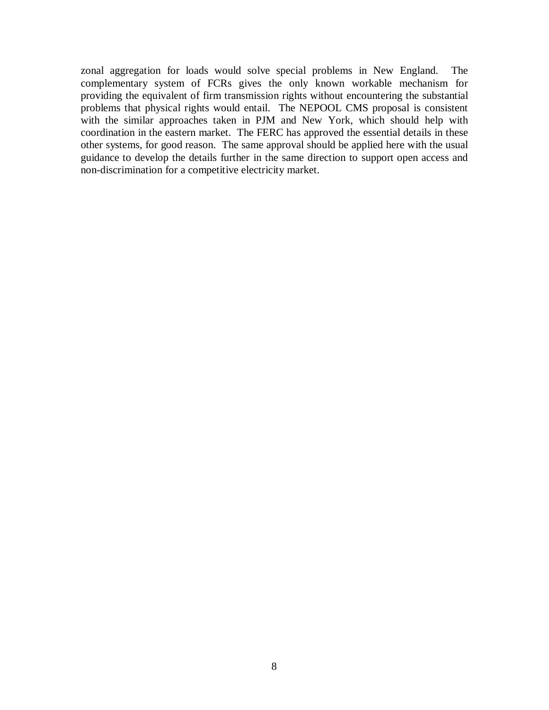zonal aggregation for loads would solve special problems in New England. The complementary system of FCRs gives the only known workable mechanism for providing the equivalent of firm transmission rights without encountering the substantial problems that physical rights would entail. The NEPOOL CMS proposal is consistent with the similar approaches taken in PJM and New York, which should help with coordination in the eastern market. The FERC has approved the essential details in these other systems, for good reason. The same approval should be applied here with the usual guidance to develop the details further in the same direction to support open access and non-discrimination for a competitive electricity market.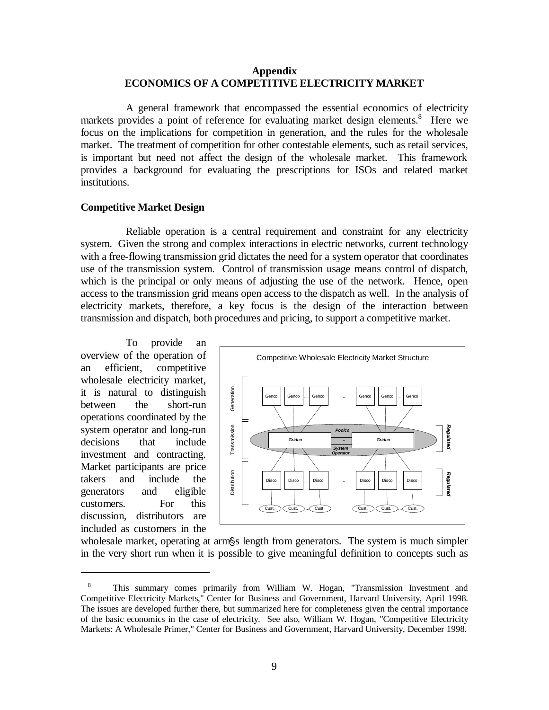# **Appendix ECONOMICS OF A COMPETITIVE ELECTRICITY MARKET**

A general framework that encompassed the essential economics of electricity markets provides a point of reference for evaluating market design elements.<sup>8</sup> Here we focus on the implications for competition in generation, and the rules for the wholesale market. The treatment of competition for other contestable elements, such as retail services, is important but need not affect the design of the wholesale market. This framework provides a background for evaluating the prescriptions for ISOs and related market institutions.

### **Competitive Market Design**

Reliable operation is a central requirement and constraint for any electricity system. Given the strong and complex interactions in electric networks, current technology with a free-flowing transmission grid dictates the need for a system operator that coordinates use of the transmission system. Control of transmission usage means control of dispatch, which is the principal or only means of adjusting the use of the network. Hence, open access to the transmission grid means open access to the dispatch as well. In the analysis of electricity markets, therefore, a key focus is the design of the interaction between transmission and dispatch, both procedures and pricing, to support a competitive market.

To provide an overview of the operation of an efficient, competitive wholesale electricity market, it is natural to distinguish between the short-run operations coordinated by the system operator and long-run decisions that include investment and contracting. Market participants are price takers and include the generators and eligible customers. For this discussion, distributors are included as customers in the

 $\overline{a}$ 



wholesale market, operating at arm§s length from generators. The system is much simpler in the very short run when it is possible to give meaningful definition to concepts such as

<sup>8</sup> This summary comes primarily from William W. Hogan, "Transmission Investment and Competitive Electricity Markets," Center for Business and Government, Harvard University, April 1998. The issues are developed further there, but summarized here for completeness given the central importance of the basic economics in the case of electricity. See also, William W. Hogan, "Competitive Electricity Markets: A Wholesale Primer," Center for Business and Government, Harvard University, December 1998.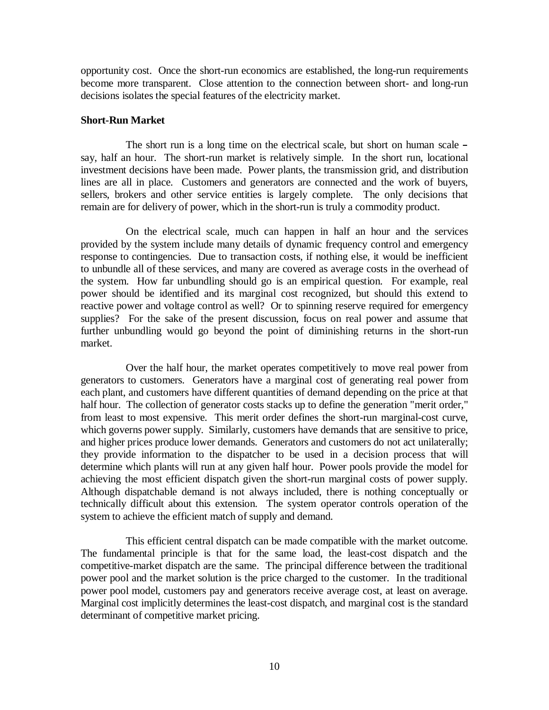opportunity cost. Once the short-run economics are established, the long-run requirements become more transparent. Close attention to the connection between short- and long-run decisions isolates the special features of the electricity market.

# **Short-Run Market**

The short run is a long time on the electrical scale, but short on human scale  $$ say, half an hour. The short-run market is relatively simple. In the short run, locational investment decisions have been made. Power plants, the transmission grid, and distribution lines are all in place. Customers and generators are connected and the work of buyers, sellers, brokers and other service entities is largely complete. The only decisions that remain are for delivery of power, which in the short-run is truly a commodity product.

On the electrical scale, much can happen in half an hour and the services provided by the system include many details of dynamic frequency control and emergency response to contingencies. Due to transaction costs, if nothing else, it would be inefficient to unbundle all of these services, and many are covered as average costs in the overhead of the system. How far unbundling should go is an empirical question. For example, real power should be identified and its marginal cost recognized, but should this extend to reactive power and voltage control as well? Or to spinning reserve required for emergency supplies? For the sake of the present discussion, focus on real power and assume that further unbundling would go beyond the point of diminishing returns in the short-run market.

Over the half hour, the market operates competitively to move real power from generators to customers. Generators have a marginal cost of generating real power from each plant, and customers have different quantities of demand depending on the price at that half hour. The collection of generator costs stacks up to define the generation "merit order," from least to most expensive. This merit order defines the short-run marginal-cost curve, which governs power supply. Similarly, customers have demands that are sensitive to price, and higher prices produce lower demands. Generators and customers do not act unilaterally; they provide information to the dispatcher to be used in a decision process that will determine which plants will run at any given half hour. Power pools provide the model for achieving the most efficient dispatch given the short-run marginal costs of power supply. Although dispatchable demand is not always included, there is nothing conceptually or technically difficult about this extension. The system operator controls operation of the system to achieve the efficient match of supply and demand.

This efficient central dispatch can be made compatible with the market outcome. The fundamental principle is that for the same load, the least-cost dispatch and the competitive-market dispatch are the same. The principal difference between the traditional power pool and the market solution is the price charged to the customer. In the traditional power pool model, customers pay and generators receive average cost, at least on average. Marginal cost implicitly determines the least-cost dispatch, and marginal cost is the standard determinant of competitive market pricing.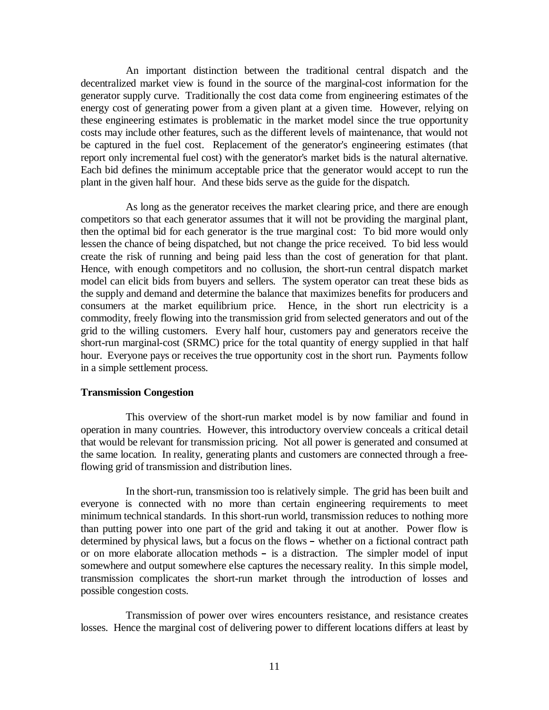An important distinction between the traditional central dispatch and the decentralized market view is found in the source of the marginal-cost information for the generator supply curve. Traditionally the cost data come from engineering estimates of the energy cost of generating power from a given plant at a given time. However, relying on these engineering estimates is problematic in the market model since the true opportunity costs may include other features, such as the different levels of maintenance, that would not be captured in the fuel cost. Replacement of the generator's engineering estimates (that report only incremental fuel cost) with the generator's market bids is the natural alternative. Each bid defines the minimum acceptable price that the generator would accept to run the plant in the given half hour. And these bids serve as the guide for the dispatch.

As long as the generator receives the market clearing price, and there are enough competitors so that each generator assumes that it will not be providing the marginal plant, then the optimal bid for each generator is the true marginal cost: To bid more would only lessen the chance of being dispatched, but not change the price received. To bid less would create the risk of running and being paid less than the cost of generation for that plant. Hence, with enough competitors and no collusion, the short-run central dispatch market model can elicit bids from buyers and sellers. The system operator can treat these bids as the supply and demand and determine the balance that maximizes benefits for producers and consumers at the market equilibrium price. Hence, in the short run electricity is a commodity, freely flowing into the transmission grid from selected generators and out of the grid to the willing customers. Every half hour, customers pay and generators receive the short-run marginal-cost (SRMC) price for the total quantity of energy supplied in that half hour. Everyone pays or receives the true opportunity cost in the short run. Payments follow in a simple settlement process.

# **Transmission Congestion**

This overview of the short-run market model is by now familiar and found in operation in many countries. However, this introductory overview conceals a critical detail that would be relevant for transmission pricing. Not all power is generated and consumed at the same location. In reality, generating plants and customers are connected through a freeflowing grid of transmission and distribution lines.

In the short-run, transmission too is relatively simple. The grid has been built and everyone is connected with no more than certain engineering requirements to meet minimum technical standards. In this short-run world, transmission reduces to nothing more than putting power into one part of the grid and taking it out at another. Power flow is determined by physical laws, but a focus on the flows – whether on a fictional contract path or on more elaborate allocation methods - is a distraction. The simpler model of input somewhere and output somewhere else captures the necessary reality. In this simple model, transmission complicates the short-run market through the introduction of losses and possible congestion costs.

Transmission of power over wires encounters resistance, and resistance creates losses. Hence the marginal cost of delivering power to different locations differs at least by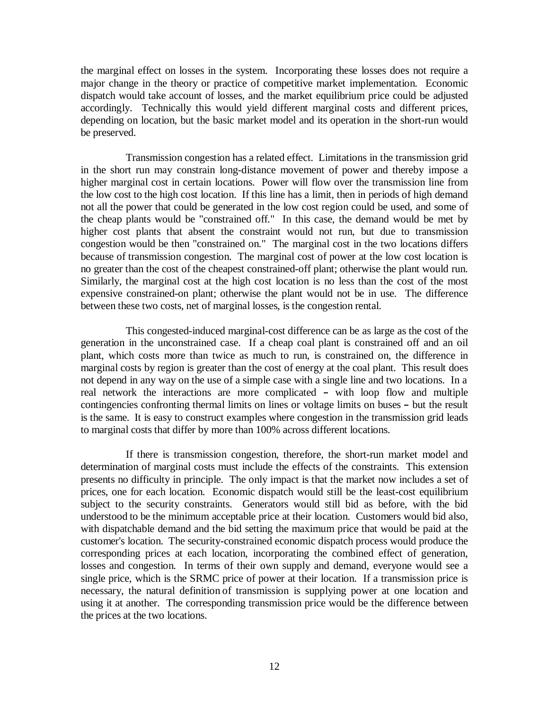the marginal effect on losses in the system. Incorporating these losses does not require a major change in the theory or practice of competitive market implementation. Economic dispatch would take account of losses, and the market equilibrium price could be adjusted accordingly. Technically this would yield different marginal costs and different prices, depending on location, but the basic market model and its operation in the short-run would be preserved.

Transmission congestion has a related effect. Limitations in the transmission grid in the short run may constrain long-distance movement of power and thereby impose a higher marginal cost in certain locations. Power will flow over the transmission line from the low cost to the high cost location. If this line has a limit, then in periods of high demand not all the power that could be generated in the low cost region could be used, and some of the cheap plants would be "constrained off." In this case, the demand would be met by higher cost plants that absent the constraint would not run, but due to transmission congestion would be then "constrained on." The marginal cost in the two locations differs because of transmission congestion. The marginal cost of power at the low cost location is no greater than the cost of the cheapest constrained-off plant; otherwise the plant would run. Similarly, the marginal cost at the high cost location is no less than the cost of the most expensive constrained-on plant; otherwise the plant would not be in use. The difference between these two costs, net of marginal losses, is the congestion rental.

This congested-induced marginal-cost difference can be as large as the cost of the generation in the unconstrained case. If a cheap coal plant is constrained off and an oil plant, which costs more than twice as much to run, is constrained on, the difference in marginal costs by region is greater than the cost of energy at the coal plant. This result does not depend in any way on the use of a simple case with a single line and two locations. In a real network the interactions are more complicated - with loop flow and multiple contingencies confronting thermal limits on lines or voltage limits on buses – but the result is the same. It is easy to construct examples where congestion in the transmission grid leads to marginal costs that differ by more than 100% across different locations.

If there is transmission congestion, therefore, the short-run market model and determination of marginal costs must include the effects of the constraints. This extension presents no difficulty in principle. The only impact is that the market now includes a set of prices, one for each location. Economic dispatch would still be the least-cost equilibrium subject to the security constraints. Generators would still bid as before, with the bid understood to be the minimum acceptable price at their location. Customers would bid also, with dispatchable demand and the bid setting the maximum price that would be paid at the customer's location. The security-constrained economic dispatch process would produce the corresponding prices at each location, incorporating the combined effect of generation, losses and congestion. In terms of their own supply and demand, everyone would see a single price, which is the SRMC price of power at their location. If a transmission price is necessary, the natural definition of transmission is supplying power at one location and using it at another. The corresponding transmission price would be the difference between the prices at the two locations.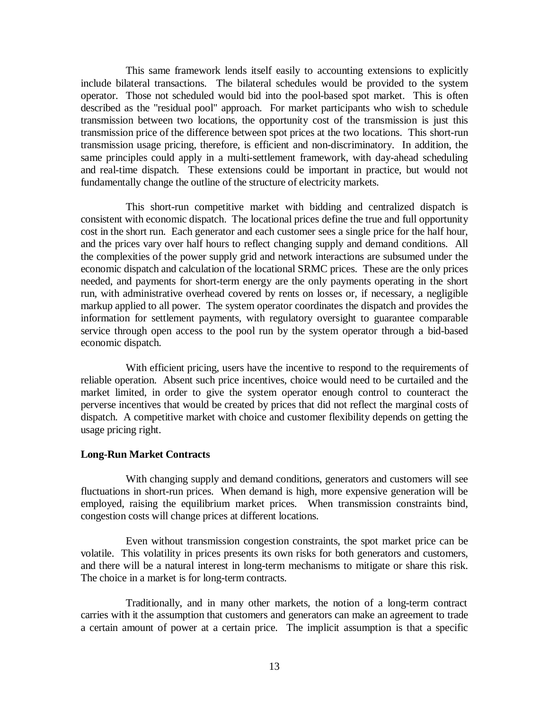This same framework lends itself easily to accounting extensions to explicitly include bilateral transactions. The bilateral schedules would be provided to the system operator. Those not scheduled would bid into the pool-based spot market. This is often described as the "residual pool" approach. For market participants who wish to schedule transmission between two locations, the opportunity cost of the transmission is just this transmission price of the difference between spot prices at the two locations. This short-run transmission usage pricing, therefore, is efficient and non-discriminatory. In addition, the same principles could apply in a multi-settlement framework, with day-ahead scheduling and real-time dispatch. These extensions could be important in practice, but would not fundamentally change the outline of the structure of electricity markets.

This short-run competitive market with bidding and centralized dispatch is consistent with economic dispatch. The locational prices define the true and full opportunity cost in the short run. Each generator and each customer sees a single price for the half hour, and the prices vary over half hours to reflect changing supply and demand conditions. All the complexities of the power supply grid and network interactions are subsumed under the economic dispatch and calculation of the locational SRMC prices. These are the only prices needed, and payments for short-term energy are the only payments operating in the short run, with administrative overhead covered by rents on losses or, if necessary, a negligible markup applied to all power. The system operator coordinates the dispatch and provides the information for settlement payments, with regulatory oversight to guarantee comparable service through open access to the pool run by the system operator through a bid-based economic dispatch.

With efficient pricing, users have the incentive to respond to the requirements of reliable operation. Absent such price incentives, choice would need to be curtailed and the market limited, in order to give the system operator enough control to counteract the perverse incentives that would be created by prices that did not reflect the marginal costs of dispatch. A competitive market with choice and customer flexibility depends on getting the usage pricing right.

#### **Long-Run Market Contracts**

With changing supply and demand conditions, generators and customers will see fluctuations in short-run prices. When demand is high, more expensive generation will be employed, raising the equilibrium market prices. When transmission constraints bind, congestion costs will change prices at different locations.

Even without transmission congestion constraints, the spot market price can be volatile. This volatility in prices presents its own risks for both generators and customers, and there will be a natural interest in long-term mechanisms to mitigate or share this risk. The choice in a market is for long-term contracts.

Traditionally, and in many other markets, the notion of a long-term contract carries with it the assumption that customers and generators can make an agreement to trade a certain amount of power at a certain price. The implicit assumption is that a specific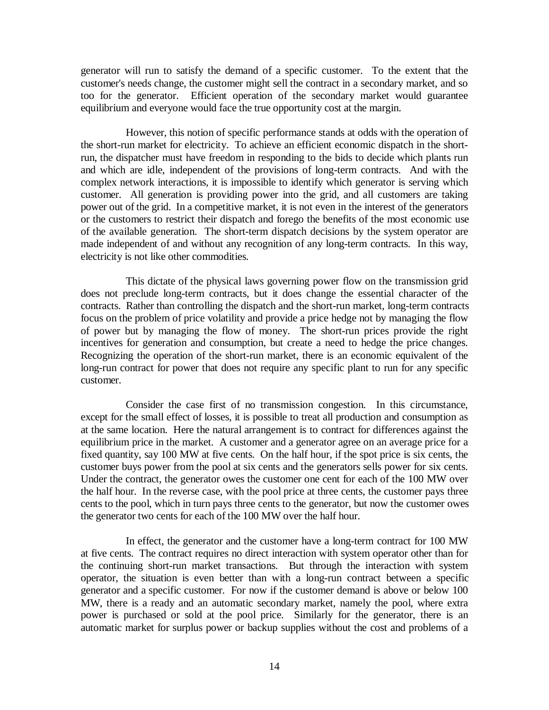generator will run to satisfy the demand of a specific customer. To the extent that the customer's needs change, the customer might sell the contract in a secondary market, and so too for the generator. Efficient operation of the secondary market would guarantee equilibrium and everyone would face the true opportunity cost at the margin.

However, this notion of specific performance stands at odds with the operation of the short-run market for electricity. To achieve an efficient economic dispatch in the shortrun, the dispatcher must have freedom in responding to the bids to decide which plants run and which are idle, independent of the provisions of long-term contracts. And with the complex network interactions, it is impossible to identify which generator is serving which customer. All generation is providing power into the grid, and all customers are taking power out of the grid. In a competitive market, it is not even in the interest of the generators or the customers to restrict their dispatch and forego the benefits of the most economic use of the available generation. The short-term dispatch decisions by the system operator are made independent of and without any recognition of any long-term contracts. In this way, electricity is not like other commodities.

This dictate of the physical laws governing power flow on the transmission grid does not preclude long-term contracts, but it does change the essential character of the contracts. Rather than controlling the dispatch and the short-run market, long-term contracts focus on the problem of price volatility and provide a price hedge not by managing the flow of power but by managing the flow of money. The short-run prices provide the right incentives for generation and consumption, but create a need to hedge the price changes. Recognizing the operation of the short-run market, there is an economic equivalent of the long-run contract for power that does not require any specific plant to run for any specific customer.

Consider the case first of no transmission congestion. In this circumstance, except for the small effect of losses, it is possible to treat all production and consumption as at the same location. Here the natural arrangement is to contract for differences against the equilibrium price in the market. A customer and a generator agree on an average price for a fixed quantity, say 100 MW at five cents. On the half hour, if the spot price is six cents, the customer buys power from the pool at six cents and the generators sells power for six cents. Under the contract, the generator owes the customer one cent for each of the 100 MW over the half hour. In the reverse case, with the pool price at three cents, the customer pays three cents to the pool, which in turn pays three cents to the generator, but now the customer owes the generator two cents for each of the 100 MW over the half hour.

In effect, the generator and the customer have a long-term contract for 100 MW at five cents. The contract requires no direct interaction with system operator other than for the continuing short-run market transactions. But through the interaction with system operator, the situation is even better than with a long-run contract between a specific generator and a specific customer. For now if the customer demand is above or below 100 MW, there is a ready and an automatic secondary market, namely the pool, where extra power is purchased or sold at the pool price. Similarly for the generator, there is an automatic market for surplus power or backup supplies without the cost and problems of a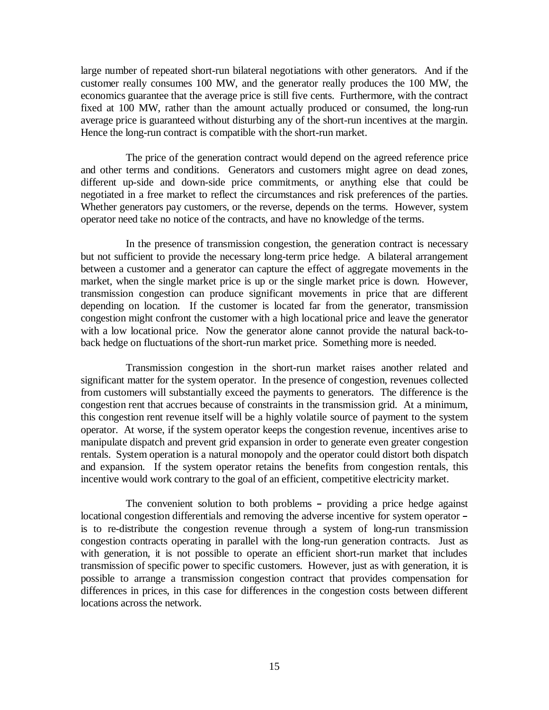large number of repeated short-run bilateral negotiations with other generators. And if the customer really consumes 100 MW, and the generator really produces the 100 MW, the economics guarantee that the average price is still five cents. Furthermore, with the contract fixed at 100 MW, rather than the amount actually produced or consumed, the long-run average price is guaranteed without disturbing any of the short-run incentives at the margin. Hence the long-run contract is compatible with the short-run market.

The price of the generation contract would depend on the agreed reference price and other terms and conditions. Generators and customers might agree on dead zones, different up-side and down-side price commitments, or anything else that could be negotiated in a free market to reflect the circumstances and risk preferences of the parties. Whether generators pay customers, or the reverse, depends on the terms. However, system operator need take no notice of the contracts, and have no knowledge of the terms.

In the presence of transmission congestion, the generation contract is necessary but not sufficient to provide the necessary long-term price hedge. A bilateral arrangement between a customer and a generator can capture the effect of aggregate movements in the market, when the single market price is up or the single market price is down. However, transmission congestion can produce significant movements in price that are different depending on location. If the customer is located far from the generator, transmission congestion might confront the customer with a high locational price and leave the generator with a low locational price. Now the generator alone cannot provide the natural back-toback hedge on fluctuations of the short-run market price. Something more is needed.

Transmission congestion in the short-run market raises another related and significant matter for the system operator. In the presence of congestion, revenues collected from customers will substantially exceed the payments to generators. The difference is the congestion rent that accrues because of constraints in the transmission grid. At a minimum, this congestion rent revenue itself will be a highly volatile source of payment to the system operator. At worse, if the system operator keeps the congestion revenue, incentives arise to manipulate dispatch and prevent grid expansion in order to generate even greater congestion rentals. System operation is a natural monopoly and the operator could distort both dispatch and expansion. If the system operator retains the benefits from congestion rentals, this incentive would work contrary to the goal of an efficient, competitive electricity market.

The convenient solution to both problems – providing a price hedge against locational congestion differentials and removing the adverse incentive for system operator is to re-distribute the congestion revenue through a system of long-run transmission congestion contracts operating in parallel with the long-run generation contracts. Just as with generation, it is not possible to operate an efficient short-run market that includes transmission of specific power to specific customers. However, just as with generation, it is possible to arrange a transmission congestion contract that provides compensation for differences in prices, in this case for differences in the congestion costs between different locations across the network.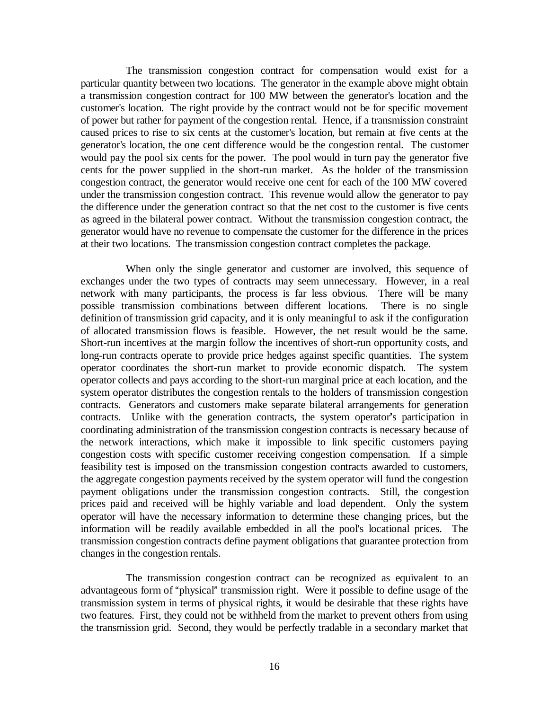The transmission congestion contract for compensation would exist for a particular quantity between two locations. The generator in the example above might obtain a transmission congestion contract for 100 MW between the generator's location and the customer's location. The right provide by the contract would not be for specific movement of power but rather for payment of the congestion rental. Hence, if a transmission constraint caused prices to rise to six cents at the customer's location, but remain at five cents at the generator's location, the one cent difference would be the congestion rental. The customer would pay the pool six cents for the power. The pool would in turn pay the generator five cents for the power supplied in the short-run market. As the holder of the transmission congestion contract, the generator would receive one cent for each of the 100 MW covered under the transmission congestion contract. This revenue would allow the generator to pay the difference under the generation contract so that the net cost to the customer is five cents as agreed in the bilateral power contract. Without the transmission congestion contract, the generator would have no revenue to compensate the customer for the difference in the prices at their two locations. The transmission congestion contract completes the package.

When only the single generator and customer are involved, this sequence of exchanges under the two types of contracts may seem unnecessary. However, in a real network with many participants, the process is far less obvious. There will be many possible transmission combinations between different locations. There is no single definition of transmission grid capacity, and it is only meaningful to ask if the configuration of allocated transmission flows is feasible. However, the net result would be the same. Short-run incentives at the margin follow the incentives of short-run opportunity costs, and long-run contracts operate to provide price hedges against specific quantities. The system operator coordinates the short-run market to provide economic dispatch. The system operator collects and pays according to the short-run marginal price at each location, and the system operator distributes the congestion rentals to the holders of transmission congestion contracts. Generators and customers make separate bilateral arrangements for generation contracts. Unlike with the generation contracts, the system operator's participation in coordinating administration of the transmission congestion contracts is necessary because of the network interactions, which make it impossible to link specific customers paying congestion costs with specific customer receiving congestion compensation. If a simple feasibility test is imposed on the transmission congestion contracts awarded to customers, the aggregate congestion payments received by the system operator will fund the congestion payment obligations under the transmission congestion contracts. Still, the congestion prices paid and received will be highly variable and load dependent. Only the system operator will have the necessary information to determine these changing prices, but the information will be readily available embedded in all the pool's locational prices. The transmission congestion contracts define payment obligations that guarantee protection from changes in the congestion rentals.

The transmission congestion contract can be recognized as equivalent to an advantageous form of "physical" transmission right. Were it possible to define usage of the transmission system in terms of physical rights, it would be desirable that these rights have two features. First, they could not be withheld from the market to prevent others from using the transmission grid. Second, they would be perfectly tradable in a secondary market that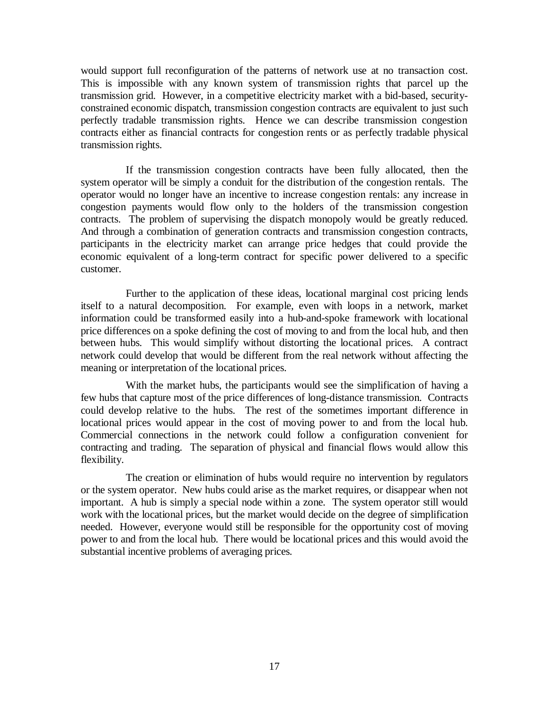would support full reconfiguration of the patterns of network use at no transaction cost. This is impossible with any known system of transmission rights that parcel up the transmission grid. However, in a competitive electricity market with a bid-based, securityconstrained economic dispatch, transmission congestion contracts are equivalent to just such perfectly tradable transmission rights. Hence we can describe transmission congestion contracts either as financial contracts for congestion rents or as perfectly tradable physical transmission rights.

If the transmission congestion contracts have been fully allocated, then the system operator will be simply a conduit for the distribution of the congestion rentals. The operator would no longer have an incentive to increase congestion rentals: any increase in congestion payments would flow only to the holders of the transmission congestion contracts. The problem of supervising the dispatch monopoly would be greatly reduced. And through a combination of generation contracts and transmission congestion contracts, participants in the electricity market can arrange price hedges that could provide the economic equivalent of a long-term contract for specific power delivered to a specific customer.

Further to the application of these ideas, locational marginal cost pricing lends itself to a natural decomposition. For example, even with loops in a network, market information could be transformed easily into a hub-and-spoke framework with locational price differences on a spoke defining the cost of moving to and from the local hub, and then between hubs. This would simplify without distorting the locational prices. A contract network could develop that would be different from the real network without affecting the meaning or interpretation of the locational prices.

With the market hubs, the participants would see the simplification of having a few hubs that capture most of the price differences of long-distance transmission. Contracts could develop relative to the hubs. The rest of the sometimes important difference in locational prices would appear in the cost of moving power to and from the local hub. Commercial connections in the network could follow a configuration convenient for contracting and trading. The separation of physical and financial flows would allow this flexibility.

The creation or elimination of hubs would require no intervention by regulators or the system operator. New hubs could arise as the market requires, or disappear when not important. A hub is simply a special node within a zone. The system operator still would work with the locational prices, but the market would decide on the degree of simplification needed. However, everyone would still be responsible for the opportunity cost of moving power to and from the local hub. There would be locational prices and this would avoid the substantial incentive problems of averaging prices.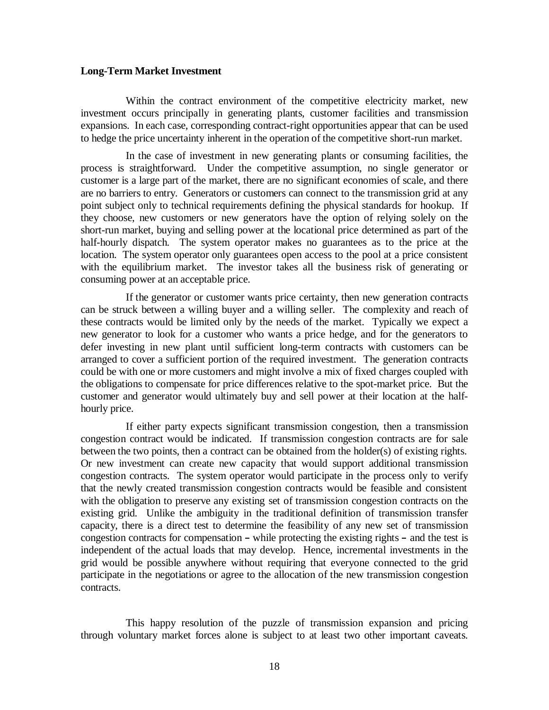## **Long-Term Market Investment**

Within the contract environment of the competitive electricity market, new investment occurs principally in generating plants, customer facilities and transmission expansions. In each case, corresponding contract-right opportunities appear that can be used to hedge the price uncertainty inherent in the operation of the competitive short-run market.

In the case of investment in new generating plants or consuming facilities, the process is straightforward. Under the competitive assumption, no single generator or customer is a large part of the market, there are no significant economies of scale, and there are no barriers to entry. Generators or customers can connect to the transmission grid at any point subject only to technical requirements defining the physical standards for hookup. If they choose, new customers or new generators have the option of relying solely on the short-run market, buying and selling power at the locational price determined as part of the half-hourly dispatch. The system operator makes no guarantees as to the price at the location. The system operator only guarantees open access to the pool at a price consistent with the equilibrium market. The investor takes all the business risk of generating or consuming power at an acceptable price.

If the generator or customer wants price certainty, then new generation contracts can be struck between a willing buyer and a willing seller. The complexity and reach of these contracts would be limited only by the needs of the market. Typically we expect a new generator to look for a customer who wants a price hedge, and for the generators to defer investing in new plant until sufficient long-term contracts with customers can be arranged to cover a sufficient portion of the required investment. The generation contracts could be with one or more customers and might involve a mix of fixed charges coupled with the obligations to compensate for price differences relative to the spot-market price. But the customer and generator would ultimately buy and sell power at their location at the halfhourly price.

If either party expects significant transmission congestion, then a transmission congestion contract would be indicated. If transmission congestion contracts are for sale between the two points, then a contract can be obtained from the holder(s) of existing rights. Or new investment can create new capacity that would support additional transmission congestion contracts. The system operator would participate in the process only to verify that the newly created transmission congestion contracts would be feasible and consistent with the obligation to preserve any existing set of transmission congestion contracts on the existing grid. Unlike the ambiguity in the traditional definition of transmission transfer capacity, there is a direct test to determine the feasibility of any new set of transmission congestion contracts for compensation  $-$  while protecting the existing rights  $-$  and the test is independent of the actual loads that may develop. Hence, incremental investments in the grid would be possible anywhere without requiring that everyone connected to the grid participate in the negotiations or agree to the allocation of the new transmission congestion contracts.

This happy resolution of the puzzle of transmission expansion and pricing through voluntary market forces alone is subject to at least two other important caveats.